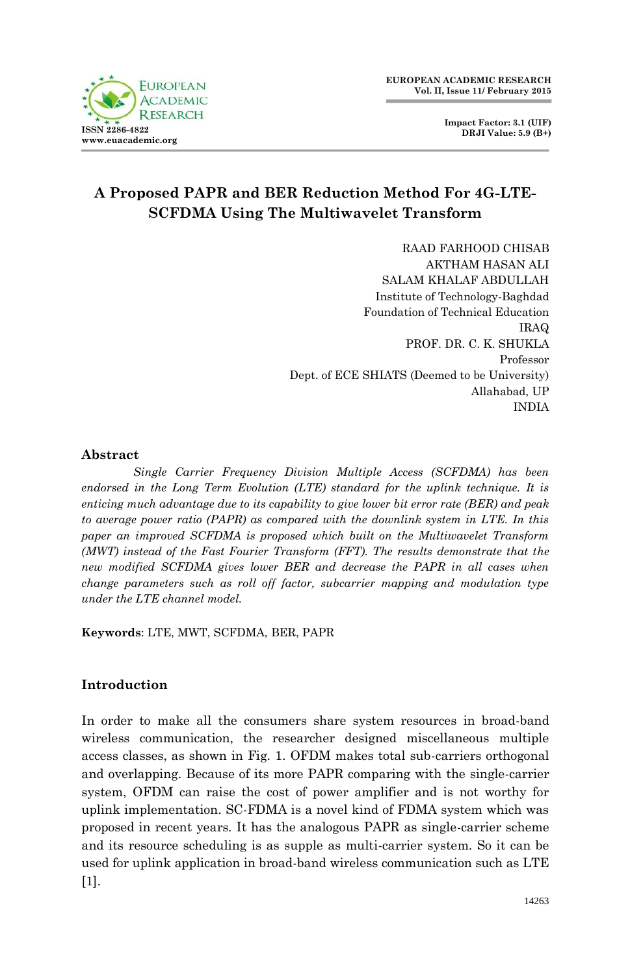

**Impact Factor: 3.1 (UIF) DRJI Value: 5.9 (B+)**

# **A Proposed PAPR and BER Reduction Method For 4G-LTE-SCFDMA Using The Multiwavelet Transform**

RAAD FARHOOD CHISAB AKTHAM HASAN ALI SALAM KHALAF ABDULLAH Institute of Technology-Baghdad Foundation of Technical Education IRAQ PROF. DR. C. K. SHUKLA Professor Dept. of ECE SHIATS (Deemed to be University) Allahabad, UP INDIA

### **Abstract**

*Single Carrier Frequency Division Multiple Access (SCFDMA) has been endorsed in the Long Term Evolution (LTE) standard for the uplink technique. It is enticing much advantage due to its capability to give lower bit error rate (BER) and peak to average power ratio (PAPR) as compared with the downlink system in LTE. In this paper an improved SCFDMA is proposed which built on the Multiwavelet Transform (MWT) instead of the Fast Fourier Transform (FFT). The results demonstrate that the new modified SCFDMA gives lower BER and decrease the PAPR in all cases when change parameters such as roll off factor, subcarrier mapping and modulation type under the LTE channel model.*

**Keywords**: LTE, MWT, SCFDMA, BER, PAPR

# **Introduction**

In order to make all the consumers share system resources in broad-band wireless communication, the researcher designed miscellaneous multiple access classes, as shown in Fig. 1. OFDM makes total sub-carriers orthogonal and overlapping. Because of its more PAPR comparing with the single-carrier system, OFDM can raise the cost of power amplifier and is not worthy for uplink implementation. SC-FDMA is a novel kind of FDMA system which was proposed in recent years. It has the analogous PAPR as single-carrier scheme and its resource scheduling is as supple as multi-carrier system. So it can be used for uplink application in broad-band wireless communication such as LTE [1].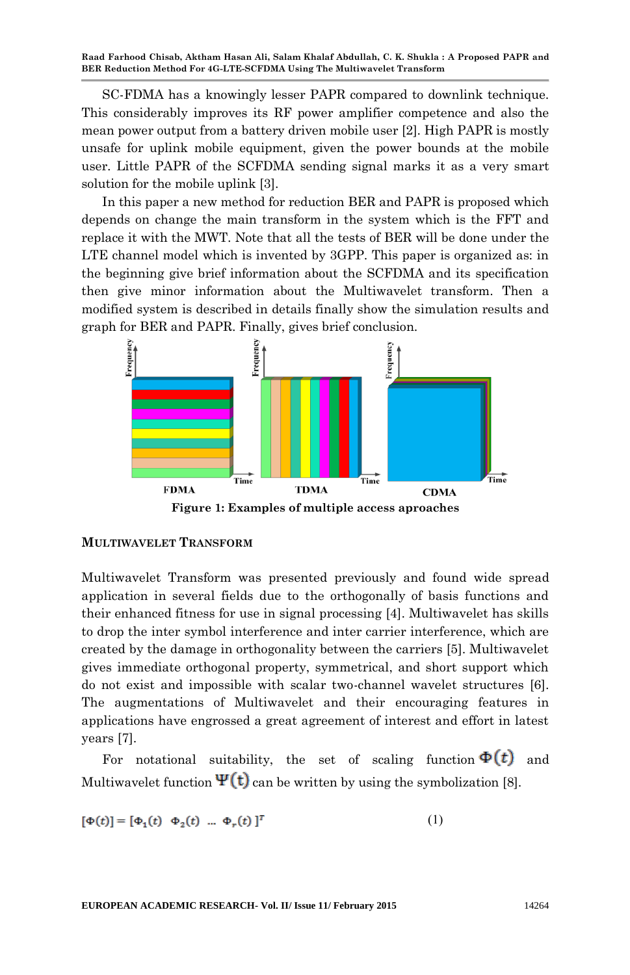SC-FDMA has a knowingly lesser PAPR compared to downlink technique. This considerably improves its RF power amplifier competence and also the mean power output from a battery driven mobile user [2]. High PAPR is mostly unsafe for uplink mobile equipment, given the power bounds at the mobile user. Little PAPR of the SCFDMA sending signal marks it as a very smart solution for the mobile uplink [3].

In this paper a new method for reduction BER and PAPR is proposed which depends on change the main transform in the system which is the FFT and replace it with the MWT. Note that all the tests of BER will be done under the LTE channel model which is invented by 3GPP. This paper is organized as: in the beginning give brief information about the SCFDMA and its specification then give minor information about the Multiwavelet transform. Then a modified system is described in details finally show the simulation results and graph for BER and PAPR. Finally, gives brief conclusion.



#### **MULTIWAVELET TRANSFORM**

Multiwavelet Transform was presented previously and found wide spread application in several fields due to the orthogonally of basis functions and their enhanced fitness for use in signal processing [4]. Multiwavelet has skills to drop the inter symbol interference and inter carrier interference, which are created by the damage in orthogonality between the carriers [5]. Multiwavelet gives immediate orthogonal property, symmetrical, and short support which do not exist and impossible with scalar two-channel wavelet structures [6]. The augmentations of Multiwavelet and their encouraging features in applications have engrossed a great agreement of interest and effort in latest years [7].

For notational suitability, the set of scaling function  $\Phi(t)$  and Multiwavelet function  $\Psi(t)$  can be written by using the symbolization [8].

$$
[\Phi(t)] = [\Phi_1(t) \Phi_2(t) \dots \Phi_r(t)]^T
$$
 (1)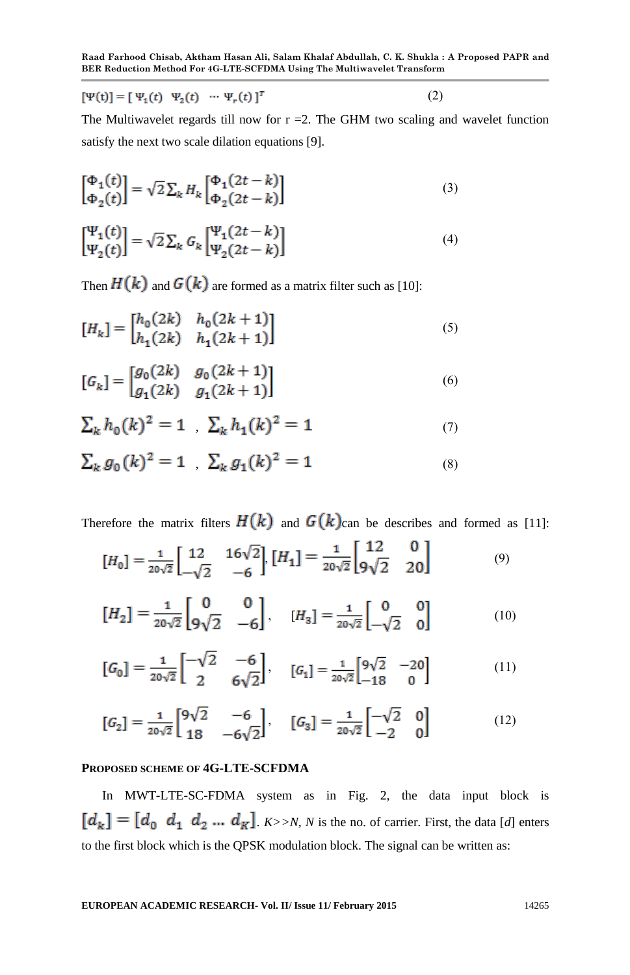$[\Psi(t)] = [\Psi_1(t) \ \Psi_2(t) \ \cdots \ \Psi_r(t)]^T$  $(2)$ 

The Multiwavelet regards till now for  $r = 2$ . The GHM two scaling and wavelet function satisfy the next two scale dilation equations [9].

$$
\begin{bmatrix} \Phi_1(t) \\ \Phi_2(t) \end{bmatrix} = \sqrt{2} \sum_k H_k \begin{bmatrix} \Phi_1(2t - k) \\ \Phi_2(2t - k) \end{bmatrix}
$$
 (3)

$$
\begin{bmatrix} \Psi_1(t) \\ \Psi_2(t) \end{bmatrix} = \sqrt{2} \sum_k G_k \begin{bmatrix} \Psi_1(2t - k) \\ \Psi_2(2t - k) \end{bmatrix}
$$
 (4)

Then  $H(k)$  and  $G(k)$  are formed as a matrix filter such as [10]:

$$
[H_k] = \begin{bmatrix} h_0(2k) & h_0(2k+1) \\ h_1(2k) & h_1(2k+1) \end{bmatrix}
$$
 (5)

$$
[G_k] = \begin{bmatrix} g_0(2k) & g_0(2k+1) \\ g_1(2k) & g_1(2k+1) \end{bmatrix}
$$
 (6)

$$
\sum_{k} h_0(k)^2 = 1 \quad \sum_{k} h_1(k)^2 = 1 \tag{7}
$$

$$
\sum_{k} g_0(k)^2 = 1 \quad \sum_{k} g_1(k)^2 = 1 \tag{8}
$$

Therefore the matrix filters  $H(k)$  and  $G(k)$ can be describes and formed as [11]:

$$
[H_0] = \frac{1}{20\sqrt{2}} \begin{bmatrix} 12 & 16\sqrt{2} \\ -\sqrt{2} & -6 \end{bmatrix}, [H_1] = \frac{1}{20\sqrt{2}} \begin{bmatrix} 12 & 0 \\ 9\sqrt{2} & 20 \end{bmatrix}
$$
(9)

$$
\begin{bmatrix} H_2 \end{bmatrix} = \frac{1}{20\sqrt{2}} \begin{bmatrix} 0 & 0 \\ 9\sqrt{2} & -6 \end{bmatrix}, \quad \begin{bmatrix} H_3 \end{bmatrix} = \frac{1}{20\sqrt{2}} \begin{bmatrix} 0 & 0 \\ -\sqrt{2} & 0 \end{bmatrix}
$$
(10)

$$
[G_0] = \frac{1}{20\sqrt{2}} \begin{bmatrix} -\sqrt{2} & -6 \\ 2 & 6\sqrt{2} \end{bmatrix}, \quad [G_1] = \frac{1}{20\sqrt{2}} \begin{bmatrix} 9\sqrt{2} & -20 \\ -18 & 0 \end{bmatrix}
$$
(11)

$$
[G_2] = \frac{1}{20\sqrt{2}} \begin{bmatrix} 9\sqrt{2} & -6 \\ 18 & -6\sqrt{2} \end{bmatrix}, \quad [G_3] = \frac{1}{20\sqrt{2}} \begin{bmatrix} -\sqrt{2} & 0 \\ -2 & 0 \end{bmatrix}
$$
(12)

#### **PROPOSED SCHEME OF 4G-LTE-SCFDMA**

In MWT-LTE-SC-FDMA system as in Fig. 2, the data input block is  $[d_k] = [d_0 \ d_1 \ d_2 \dots d_k]$ . *K>>N, N* is the no. of carrier. First, the data [*d*] enters to the first block which is the QPSK modulation block. The signal can be written as: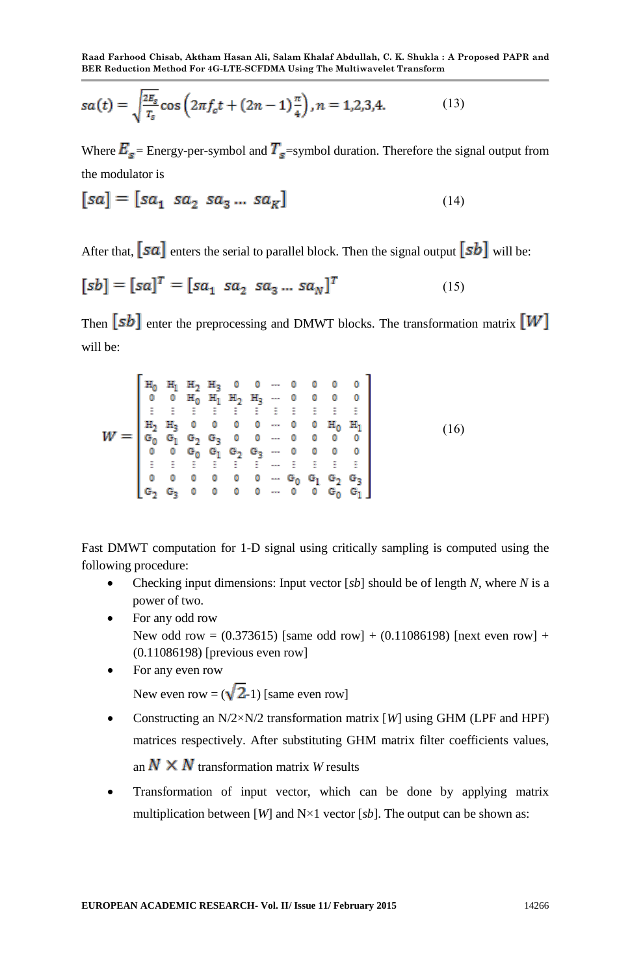$$
sa(t) = \sqrt{\frac{2E_s}{T_s}} \cos\left(2\pi f_c t + (2n - 1)\frac{\pi}{4}\right), n = 1, 2, 3, 4. \tag{13}
$$

Where  $E_s$  = Energy-per-symbol and  $T_s$  =symbol duration. Therefore the signal output from the modulator is

$$
[sa] = [sa_1 \ sa_2 \ sa_3 \dots \ sa_K]
$$
 (14)

After that,  $\sqrt{sa}$  enters the serial to parallel block. Then the signal output  $\sqrt{sb}$  will be:

$$
[sb] = [sa]^T = [sa_1 \ sa_2 \ sa_3 \dots \ sa_N]^T
$$
 (15)

Then  $[sb]$  enter the preprocessing and DMWT blocks. The transformation matrix  $[W]$ will be:

Fast DMWT computation for 1-D signal using critically sampling is computed using the following procedure:

- Checking input dimensions: Input vector [*sb*] should be of length *N*, where *N* is a power of two.
- For any odd row New odd row =  $(0.373615)$  [same odd row] +  $(0.11086198)$  [next even row] + (0.11086198) [previous even row]
- For any even row New even row =  $(\sqrt{2} - 1)$  [same even row]
- Constructing an N/2×N/2 transformation matrix [*W*] using GHM (LPF and HPF) matrices respectively. After substituting GHM matrix filter coefficients values, an  $N \times N$  transformation matrix *W* results
- Transformation of input vector, which can be done by applying matrix multiplication between [*W*] and  $N \times 1$  vector [*sb*]. The output can be shown as: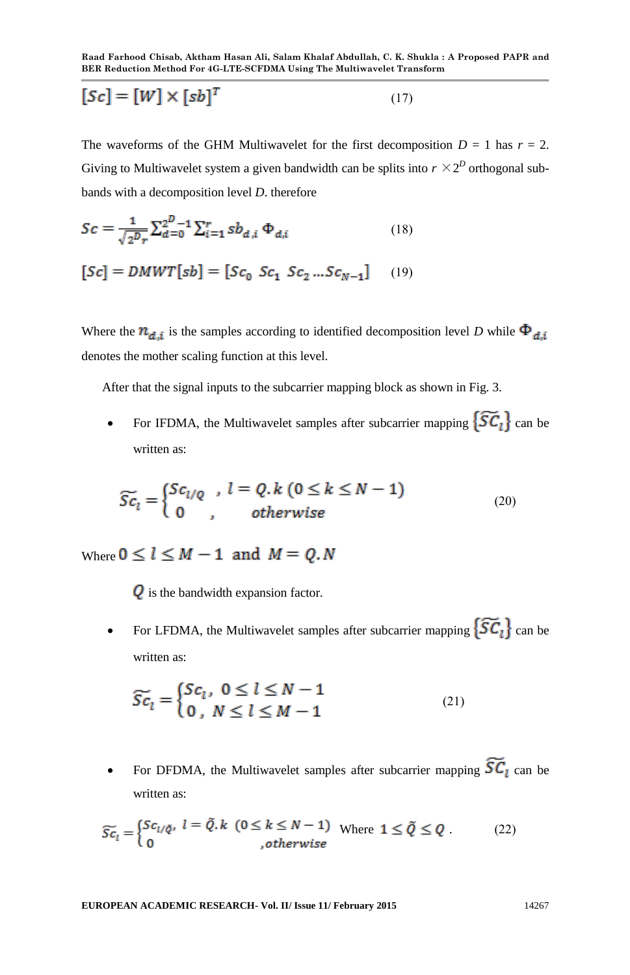$$
[Sc] = [W] \times [sb]^T \tag{17}
$$

The waveforms of the GHM Multiwavelet for the first decomposition  $D = 1$  has  $r = 2$ . Giving to Multiwavelet system a given bandwidth can be splits into  $r \times 2^D$  orthogonal subbands with a decomposition level *D*. therefore

$$
Sc = \frac{1}{\sqrt{2^D r}} \sum_{d=0}^{D-1} \sum_{i=1}^{r} s b_{d,i} \Phi_{d,i}
$$
 (18)

$$
[Sc] = DMWT[sb] = [Sc_0 Sc_1 Sc_2...Sc_{N-1}] \tag{19}
$$

Where the  $n_{d,i}$  is the samples according to identified decomposition level *D* while  $\Phi_{d,i}$ denotes the mother scaling function at this level.

After that the signal inputs to the subcarrier mapping block as shown in Fig. 3.

• For IFDMA, the Multiwavelet samples after subcarrier mapping  $\{\widetilde{SC}_t\}$  can be written as:

$$
\widetilde{Sc}_l = \begin{cases} Sc_{l/Q} , & l = Q, k \ (0 \le k \le N - 1) \\ 0 , & otherwise \end{cases}
$$
\n(20)

Where  $0 \le l \le M - 1$  and  $M = 0$ .

 $\overline{Q}$  is the bandwidth expansion factor.

For LFDMA, the Multiwavelet samples after subcarrier mapping  $\{\widetilde{SC}_l\}$  can be written as:

$$
\widetilde{Sc}_l = \begin{cases} Sc_l, & 0 \le l \le N-1 \\ 0, & N \le l \le M-1 \end{cases}
$$
\n(21)

For DFDMA, the Multiwavelet samples after subcarrier mapping  $\widetilde{SC}_1$  can be written as:

$$
\widetilde{Sc}_l = \begin{cases} Sc_{l/\check{Q}}, & l = \tilde{Q}.k \ (0 \le k \le N-1) \text{ where } 1 \le \tilde{Q} \le Q \\ 0 & , \text{otherwise} \end{cases}
$$
 (22)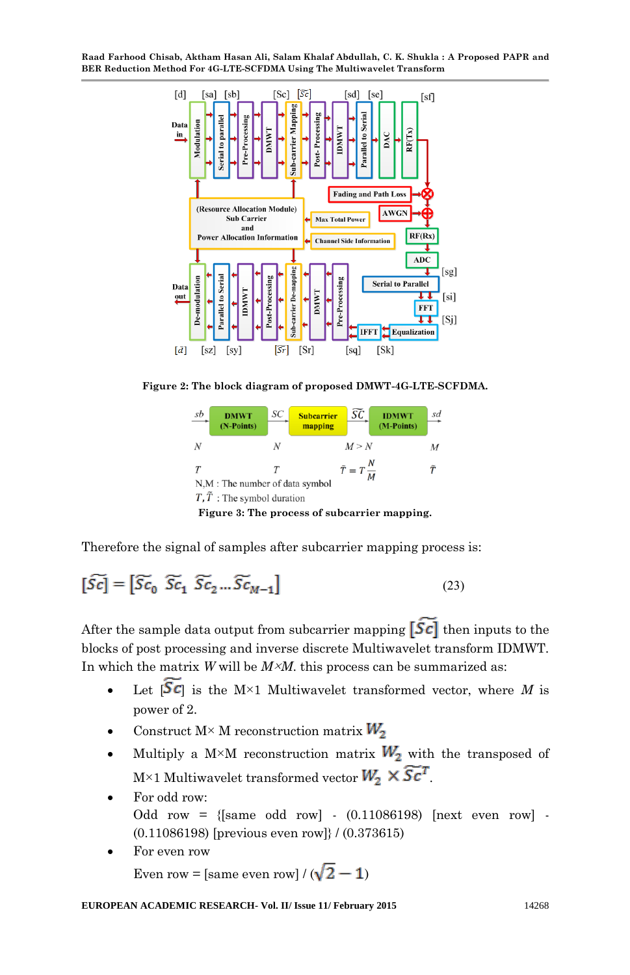

**Figure 2: The block diagram of proposed DMWT-4G-LTE-SCFDMA.**



Therefore the signal of samples after subcarrier mapping process is:

$$
\left[\widetilde{Sc}\right] = \left[\widetilde{Sc}_0 \ \widetilde{Sc}_1 \ \widetilde{Sc}_2 \dots \widetilde{Sc}_{M-1}\right] \tag{23}
$$

After the sample data output from subcarrier mapping  $\left[\hat{S}\vec{c}\right]$  then inputs to the blocks of post processing and inverse discrete Multiwavelet transform IDMWT. In which the matrix *W* will be *M*×*M*. this process can be summarized as:

- Let  $\left[ \widetilde{Sc} \right]$  is the M×1 Multiwavelet transformed vector, where M is power of 2.
- Construct  $M \times M$  reconstruction matrix  $W_2$
- Multiply a M×M reconstruction matrix  $W_2$  with the transposed of  $\mathbb{M}\times 1$  Multiwavelet transformed vector  $W_2 \times \widetilde{Sc}^T$
- For odd row: Odd row =  ${s_{\text{same}}}$  odd row  $\cdot$  (0.11086198) [next even row  $\cdot$ (0.11086198) [previous even row]} / (0.373615)
- For even row Even row = [same even row] /  $(\sqrt{2} - 1)$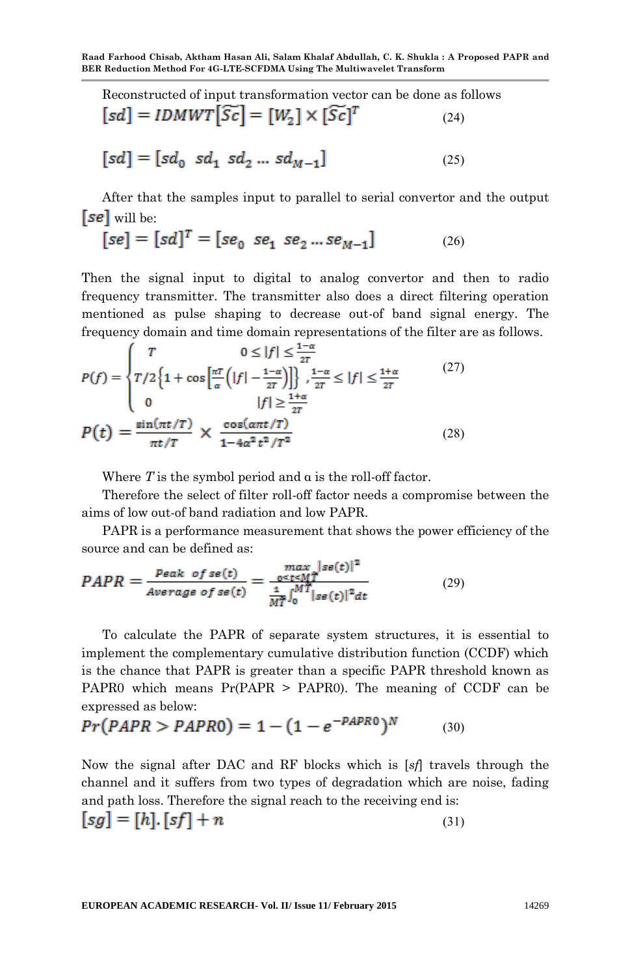Reconstructed of input transformation vector can be done as follows  $[sd] = IDMWT[\widetilde{Sc}] = [W_2] \times [\widetilde{Sc}]^T$  $(24)$ 

$$
[sd] = [sd_0\ sd_1\ sd_2\ ...\ sd_{M-1}] \eqno{(25)}
$$

After that the samples input to parallel to serial convertor and the output  $[se]$  will be:

$$
[se] = [sd]^T = [se_0 \; se_1 \; se_2 \ldots se_{M-1}] \eqno{(26)}
$$

Then the signal input to digital to analog convertor and then to radio frequency transmitter. The transmitter also does a direct filtering operation mentioned as pulse shaping to decrease out-of band signal energy. The frequency domain and time domain representations of the filter are as follows.

$$
P(f) = \begin{cases} T & 0 \le |f| \le \frac{1-\alpha}{2T} \\ T/2 \left\{ 1 + \cos\left[\frac{\pi T}{\alpha} \left(|f| - \frac{1-\alpha}{2T}\right)\right] \right\} \\ 0 & |f| \ge \frac{1+\alpha}{2T} \end{cases} \quad (27)
$$
\n
$$
P(t) = \frac{\sin(\pi t/T)}{\pi t/T} \times \frac{\cos(\pi t/T)}{1 - 4\alpha^2 t^2/T^2} \quad (28)
$$

Where *T* is the symbol period and α is the roll-off factor.

Therefore the select of filter roll-off factor needs a compromise between the aims of low out-of band radiation and low PAPR.

PAPR is a performance measurement that shows the power efficiency of the source and can be defined as:

$$
PAPR = \frac{P\epsilon ak \ of \ se(t)}{Average \ of \ se(t)} = \frac{\max_{0 \le t \le M} |se(t)|^2}{\frac{1}{M\bar{T}} \int_0^{M\bar{T}} |se(t)|^2 dt}
$$
(29)

To calculate the PAPR of separate system structures, it is essential to implement the complementary cumulative distribution function (CCDF) which is the chance that PAPR is greater than a specific PAPR threshold known as PAPR0 which means Pr(PAPR > PAPR0). The meaning of CCDF can be expressed as below:

$$
Pr(PAPR > PAPR0) = 1 - (1 - e^{-PAPR0})^N
$$
 (30)

Now the signal after DAC and RF blocks which is [*sf*] travels through the channel and it suffers from two types of degradation which are noise, fading and path loss. Therefore the signal reach to the receiving end is:  $[sg] = [h] \cdot [sf] + n$  $(31)$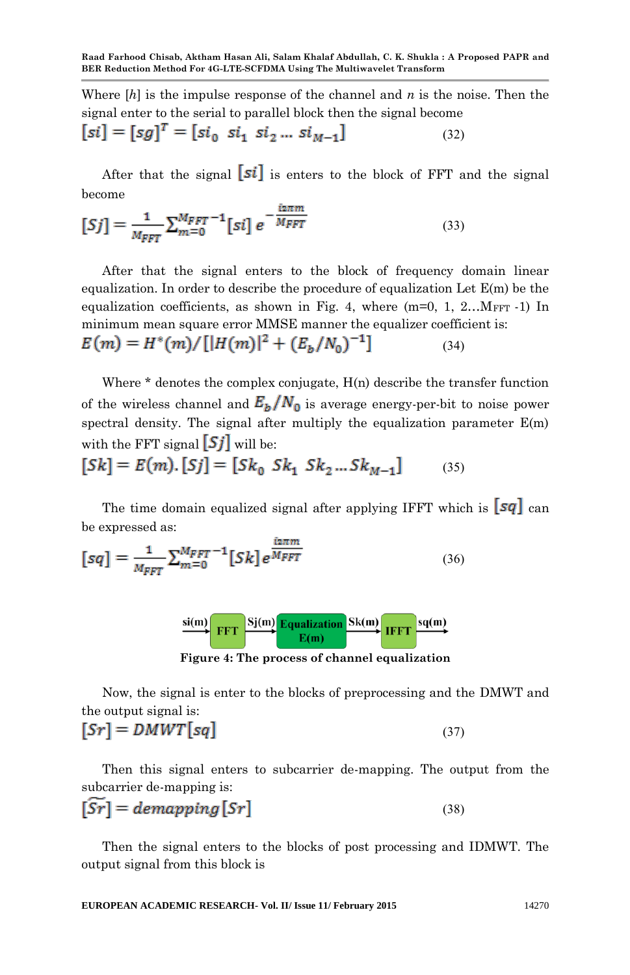Where [*h*] is the impulse response of the channel and *n* is the noise. Then the signal enter to the serial to parallel block then the signal become

$$
[si] = [sg]^T = [si_0 \; si_1 \; si_2 \dots \; si_{M-1}] \tag{32}
$$

After that the signal  $\lceil \mathfrak{s}i \rceil$  is enters to the block of FFT and the signal become

$$
[Sj] = \frac{1}{M_{FFT}} \sum_{m=0}^{M_{FFT}} \left[ sj \right] e^{-\frac{iz\pi m}{M_{FFT}}} \tag{33}
$$

After that the signal enters to the block of frequency domain linear equalization. In order to describe the procedure of equalization Let  $E(m)$  be the equalization coefficients, as shown in Fig. 4, where  $(m=0, 1, 2...M<sub>FFT</sub> -1)$  In minimum mean square error MMSE manner the equalizer coefficient is:  $E(m) = H^*(m)/[|H(m)|^2 + (E_h/N_0)^{-1}]$  $(34)$ 

Where  $*$  denotes the complex conjugate,  $H(n)$  describe the transfer function of the wireless channel and  $E_h/N_0$  is average energy-per-bit to noise power spectral density. The signal after multiply the equalization parameter  $E(m)$ with the FFT signal  $\boxed{Sj}$  will be:

$$
[Sk] = E(m). [Sj] = [Sk_0 Sk_1 Sk_2...Sk_{M-1}]
$$
 (35)

The time domain equalized signal after applying IFFT which is  $\sqrt{sq}$  can be expressed as:

$$
[sq] = \frac{1}{M_{FFT}} \sum_{m=0}^{M_{FFT}-1} [Sk] e^{\frac{i2\pi m}{M_{FFT}}} \tag{36}
$$



**Figure 4: The process of channel equalization**

Now, the signal is enter to the blocks of preprocessing and the DMWT and the output signal is:

$$
[Sr] = DMWT[sq] \tag{37}
$$

Then this signal enters to subcarrier de-mapping. The output from the subcarrier de-mapping is:

$$
[SF] = demapping[Sr] \tag{38}
$$

Then the signal enters to the blocks of post processing and IDMWT. The output signal from this block is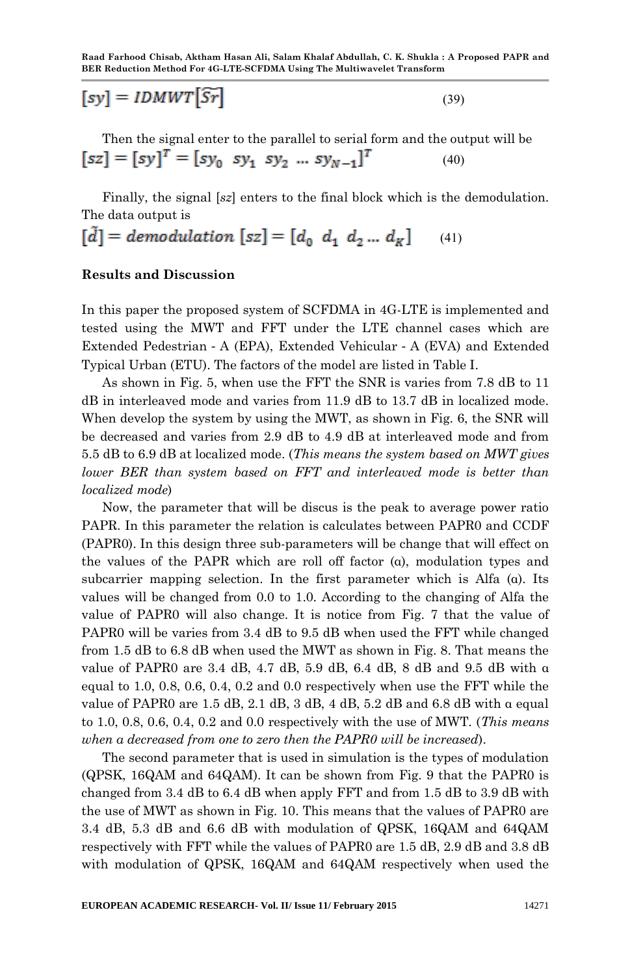$(39)$ 

$$
[sy] = IDMWT[\widetilde{Sr}]
$$

Then the signal enter to the parallel to serial form and the output will be  $[sz] = [sy]^T = [sy_0 sy_1 sy_2 ... sy_{N-1}]^T$  $(40)$ 

Finally, the signal [*sz*] enters to the final block which is the demodulation. The data output is

$$
[\tilde{d}] = demodulation [sz] = [d_0 \ d_1 \ d_2 ... \ d_K] \tag{41}
$$

#### **Results and Discussion**

In this paper the proposed system of SCFDMA in 4G-LTE is implemented and tested using the MWT and FFT under the LTE channel cases which are Extended Pedestrian‐A (EPA), Extended Vehicular‐A (EVA) and Extended Typical Urban (ETU). The factors of the model are listed in Table I.

As shown in Fig. 5, when use the FFT the SNR is varies from 7.8 dB to 11 dB in interleaved mode and varies from 11.9 dB to 13.7 dB in localized mode. When develop the system by using the MWT, as shown in Fig. 6, the SNR will be decreased and varies from 2.9 dB to 4.9 dB at interleaved mode and from 5.5 dB to 6.9 dB at localized mode. (*This means the system based on MWT gives lower BER than system based on FFT and interleaved mode is better than localized mode*)

Now, the parameter that will be discus is the peak to average power ratio PAPR. In this parameter the relation is calculates between PAPR0 and CCDF (PAPR0). In this design three sub-parameters will be change that will effect on the values of the PAPR which are roll off factor (α), modulation types and subcarrier mapping selection. In the first parameter which is Alfa  $(\alpha)$ . Its values will be changed from 0.0 to 1.0. According to the changing of Alfa the value of PAPR0 will also change. It is notice from Fig. 7 that the value of PAPR0 will be varies from 3.4 dB to 9.5 dB when used the FFT while changed from 1.5 dB to 6.8 dB when used the MWT as shown in Fig. 8. That means the value of PAPR0 are 3.4 dB, 4.7 dB, 5.9 dB, 6.4 dB, 8 dB and 9.5 dB with α equal to 1.0, 0.8, 0.6, 0.4, 0.2 and 0.0 respectively when use the FFT while the value of PAPR0 are 1.5 dB, 2.1 dB, 3 dB, 4 dB, 5.2 dB and 6.8 dB with  $\alpha$  equal to 1.0, 0.8, 0.6, 0.4, 0.2 and 0.0 respectively with the use of MWT. (*This means when α decreased from one to zero then the PAPR0 will be increased*).

The second parameter that is used in simulation is the types of modulation (QPSK, 16QAM and 64QAM). It can be shown from Fig. 9 that the PAPR0 is changed from 3.4 dB to 6.4 dB when apply FFT and from 1.5 dB to 3.9 dB with the use of MWT as shown in Fig. 10. This means that the values of PAPR0 are 3.4 dB, 5.3 dB and 6.6 dB with modulation of QPSK, 16QAM and 64QAM respectively with FFT while the values of PAPR0 are 1.5 dB, 2.9 dB and 3.8 dB with modulation of QPSK, 16QAM and 64QAM respectively when used the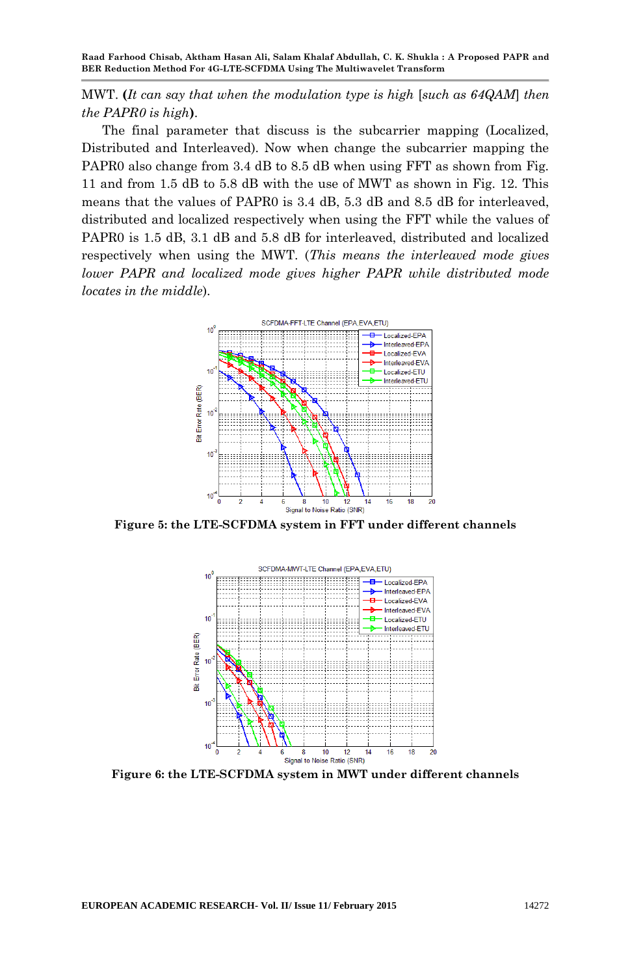MWT. **(***It can say that when the modulation type is high* [*such as 64QAM*] *then the PAPR0 is high***)**.

The final parameter that discuss is the subcarrier mapping (Localized, Distributed and Interleaved). Now when change the subcarrier mapping the PAPR0 also change from 3.4 dB to 8.5 dB when using FFT as shown from Fig. 11 and from 1.5 dB to 5.8 dB with the use of MWT as shown in Fig. 12. This means that the values of PAPR0 is 3.4 dB, 5.3 dB and 8.5 dB for interleaved, distributed and localized respectively when using the FFT while the values of PAPR0 is 1.5 dB, 3.1 dB and 5.8 dB for interleaved, distributed and localized respectively when using the MWT. (*This means the interleaved mode gives lower PAPR and localized mode gives higher PAPR while distributed mode locates in the middle*).



**Figure 5: the LTE-SCFDMA system in FFT under different channels**



**Figure 6: the LTE-SCFDMA system in MWT under different channels**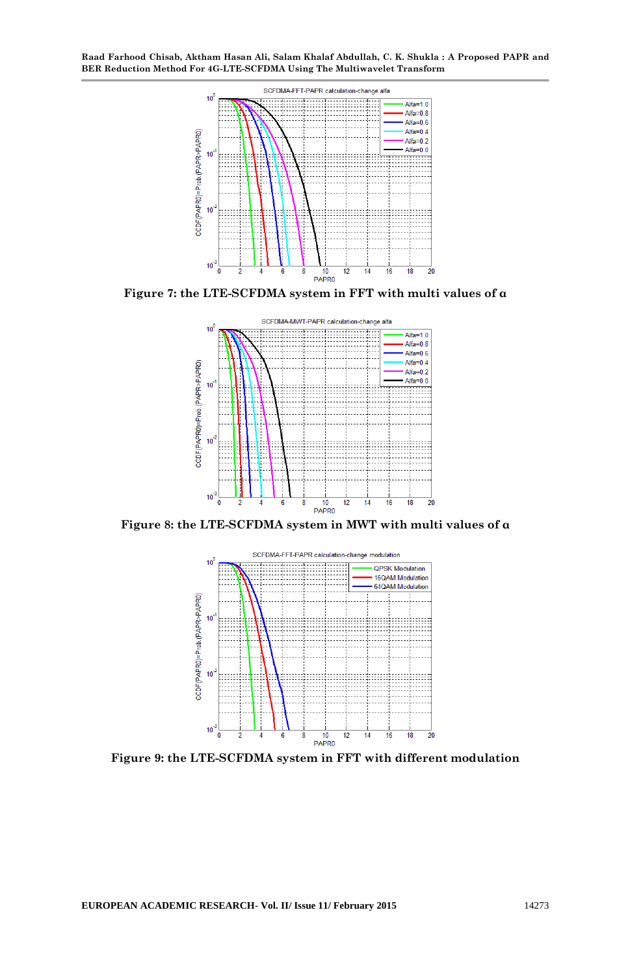

**Figure 7: the LTE-SCFDMA system in FFT with multi values of α**



**Figure 8: the LTE-SCFDMA system in MWT with multi values of α**



**Figure 9: the LTE-SCFDMA system in FFT with different modulation**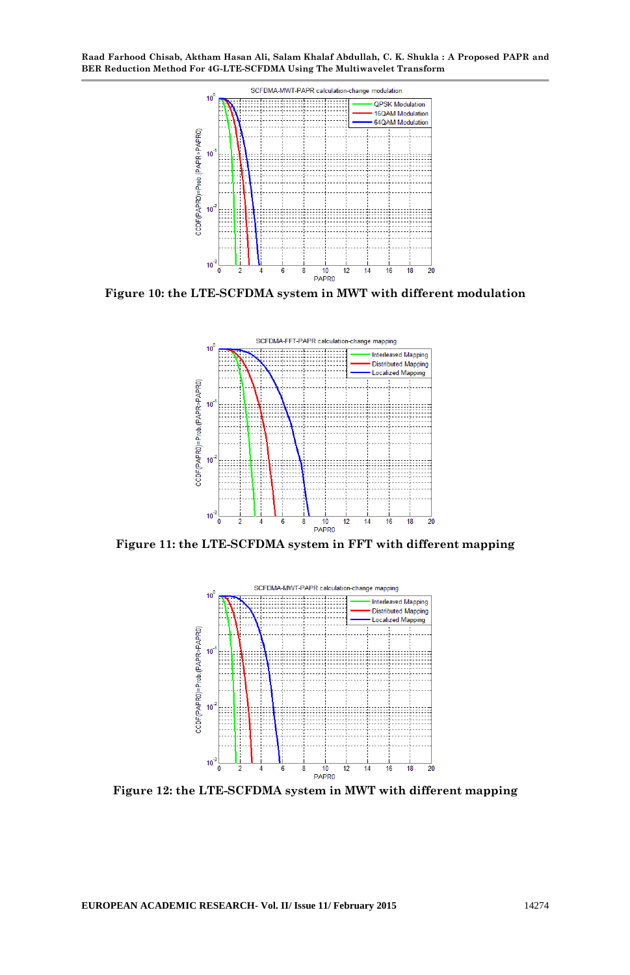

**Figure 10: the LTE-SCFDMA system in MWT with different modulation**



**Figure 11: the LTE-SCFDMA system in FFT with different mapping**



**Figure 12: the LTE-SCFDMA system in MWT with different mapping**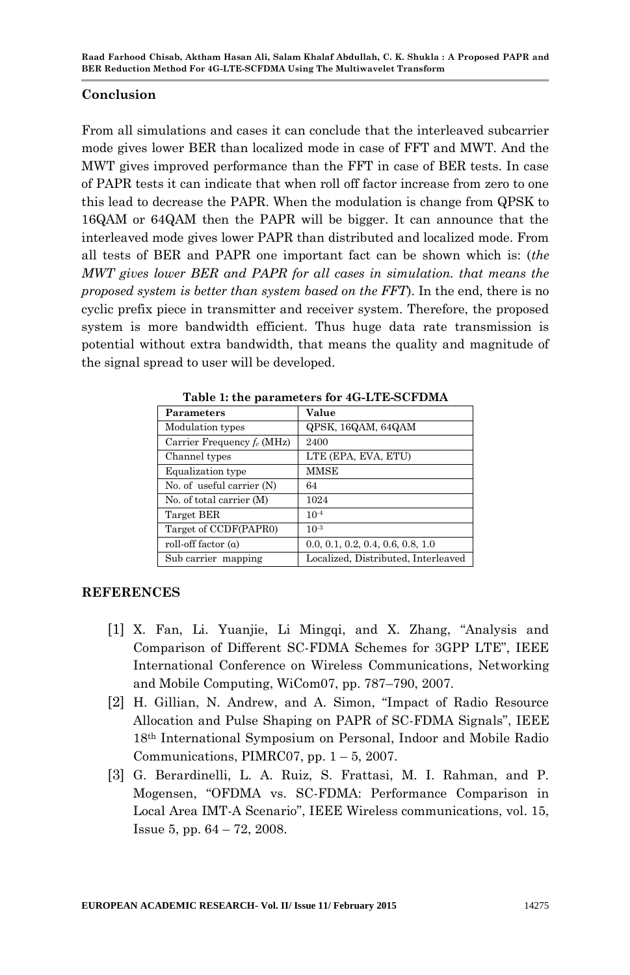### **Conclusion**

From all simulations and cases it can conclude that the interleaved subcarrier mode gives lower BER than localized mode in case of FFT and MWT. And the MWT gives improved performance than the FFT in case of BER tests. In case of PAPR tests it can indicate that when roll off factor increase from zero to one this lead to decrease the PAPR. When the modulation is change from QPSK to 16QAM or 64QAM then the PAPR will be bigger. It can announce that the interleaved mode gives lower PAPR than distributed and localized mode. From all tests of BER and PAPR one important fact can be shown which is: (*the MWT gives lower BER and PAPR for all cases in simulation. that means the proposed system is better than system based on the FFT*). In the end, there is no cyclic prefix piece in transmitter and receiver system. Therefore, the proposed system is more bandwidth efficient. Thus huge data rate transmission is potential without extra bandwidth, that means the quality and magnitude of the signal spread to user will be developed.

| Parameters                   | Value                               |
|------------------------------|-------------------------------------|
| Modulation types             | QPSK, 16QAM, 64QAM                  |
| Carrier Frequency $f_c(MHz)$ | 2400                                |
| Channel types                | LTE (EPA, EVA, ETU)                 |
| Equalization type            | <b>MMSE</b>                         |
| No. of useful carrier $(N)$  | 64                                  |
| No. of total carrier (M)     | 1024                                |
| Target BER                   | $10^{-4}$                           |
| Target of CCDF(PAPR0)        | $10^{-3}$                           |
| roll-off factor $(a)$        | 0.0, 0.1, 0.2, 0.4, 0.6, 0.8, 1.0   |
| Sub carrier mapping          | Localized, Distributed, Interleaved |

**Table 1: the parameters for 4G-LTE-SCFDMA**

# **REFERENCES**

- [1] X. Fan, Li. Yuanjie, Li Mingqi, and X. Zhang, "Analysis and Comparison of Different SC-FDMA Schemes for 3GPP LTE", IEEE International Conference on Wireless Communications, Networking and Mobile Computing, WiCom07, pp. 787–790, 2007.
- [2] H. Gillian, N. Andrew, and A. Simon, "Impact of Radio Resource Allocation and Pulse Shaping on PAPR of SC-FDMA Signals", IEEE 18th International Symposium on Personal, Indoor and Mobile Radio Communications, PIMRC07, pp.  $1 - 5$ , 2007.
- [3] G. Berardinelli, L. A. Ruiz, S. Frattasi, M. I. Rahman, and P. Mogensen, "OFDMA vs. SC-FDMA: Performance Comparison in Local Area IMT-A Scenario", IEEE Wireless communications, vol. 15, Issue 5, pp. 64 – 72, 2008.